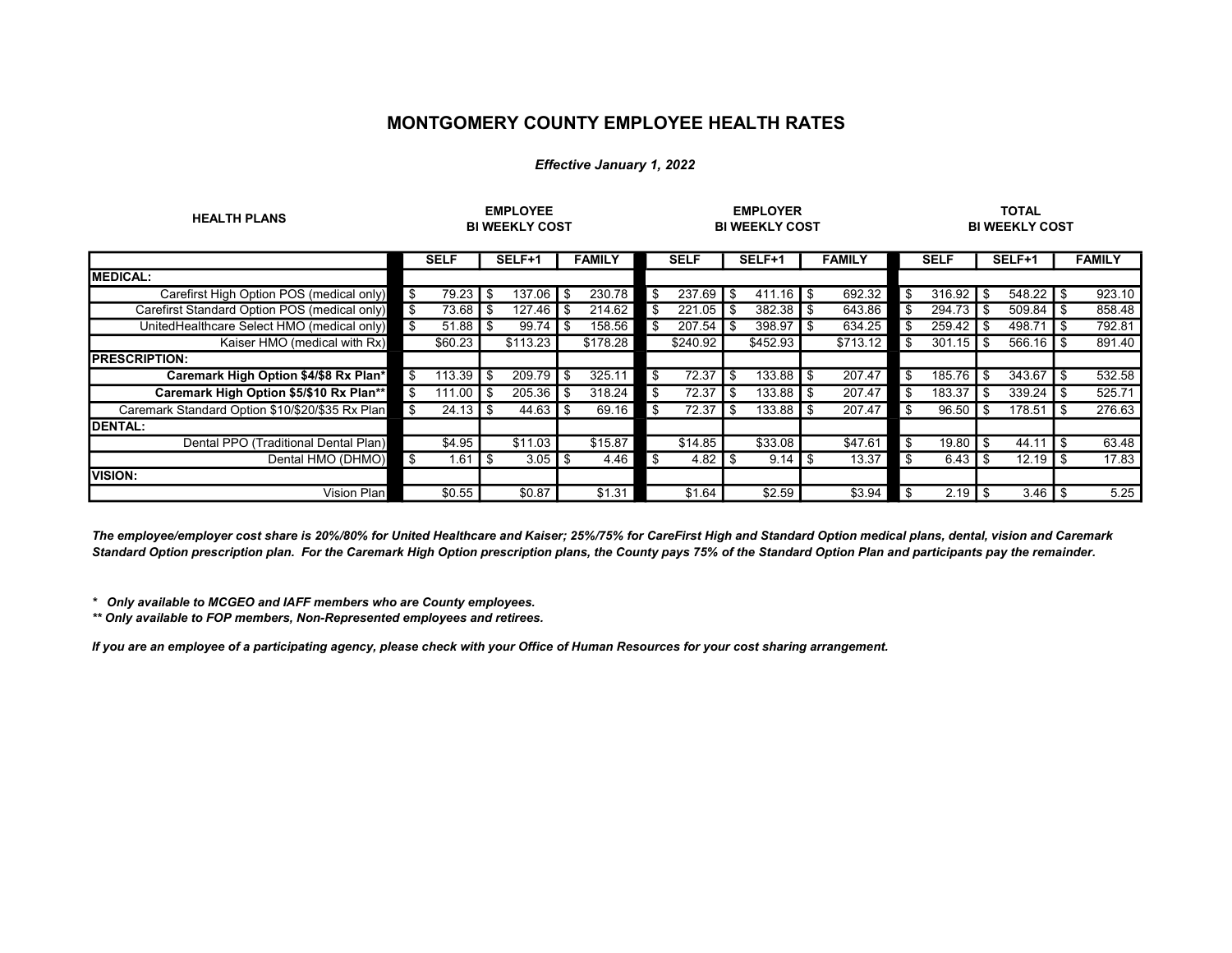## MONTGOMERY COUNTY EMPLOYEE HEALTH RATES

## Effective January 1, 2022

| <b>HEALTH PLANS</b>                             | <b>EMPLOYEE</b><br><b>BI WEEKLY COST</b> |                    |      |                                      | <b>EMPLOYER</b><br><b>BI WEEKLY COST</b> |               |      |                    |                   | <b>TOTAL</b><br><b>BI WEEKLY COST</b> |      |               |          |                         |           |                    |                |               |
|-------------------------------------------------|------------------------------------------|--------------------|------|--------------------------------------|------------------------------------------|---------------|------|--------------------|-------------------|---------------------------------------|------|---------------|----------|-------------------------|-----------|--------------------|----------------|---------------|
|                                                 |                                          | <b>SELF</b>        |      | SELF+1                               |                                          | <b>FAMILY</b> |      | <b>SELF</b>        |                   | SELF+1                                |      | <b>FAMILY</b> |          | <b>SELF</b>             |           | SELF+1             |                | <b>FAMILY</b> |
| <b>MEDICAL:</b>                                 |                                          |                    |      |                                      |                                          |               |      |                    |                   |                                       |      |               |          |                         |           |                    |                |               |
| Carefirst High Option POS (medical only)        | $\blacksquare$                           | 79.23              | -\$  | $137.06$ $\overline{\phantom{1}}$ \$ |                                          | 230.78        | \$   | $237.69$ \$        |                   |                                       |      | 692.32        | \$       | $316.92$ S              |           | $548.22$ S         |                | 923.10        |
| Carefirst Standard Option POS (medical only)    | ∎ \$                                     | 73.68              | -\$  | 127.46                               | - \$                                     | 214.62        | \$   | 221.05             | $\sqrt{3}$        |                                       |      | 643.86        | \$       | $294.73$ \$             |           | $509.84$ S         |                | 858.48        |
| UnitedHealthcare Select HMO (medical only)      | <b>S</b>                                 | 51.88              | -\$  | 99.74                                | - \$                                     | 158.56        | \$   | 207.54             | <b>IS</b>         | 398.97                                | - \$ | 634.25        | \$       | 259.42                  | <b>IS</b> | 498.71             | $\overline{1}$ | 792.81        |
| Kaiser HMO (medical with Rx)                    |                                          | \$60.23            |      | \$113.23                             |                                          | \$178.28      |      | \$240.92           |                   | \$452.93                              |      | \$713.12      | l \$     | $301.15$ \ \ \$         |           | $566.16$ \ \$      |                | 891.40        |
| <b>PRESCRIPTION:</b>                            |                                          |                    |      |                                      |                                          |               |      |                    |                   |                                       |      |               |          |                         |           |                    |                |               |
| Caremark High Option \$4/\$8 Rx Plan*           | l \$                                     | 113.39             | \$   | 209.79                               | -\$                                      | 325.11        | \$   | 72.37              | ∣\$               | 133.88                                | .\$  | 207.47        | \$       | 185.76                  | I \$      | 343.67             | \$             | 532.58        |
| Caremark High Option \$5/\$10 Rx Plan**         | l \$                                     | 111.00             | - \$ | $205.36$ \$                          |                                          | 318.24        | -\$  | 72.37              | $\overline{1}$    | 133.88                                | I \$ | 207.47        | -\$      | 183.37                  | I \$      | 339.24             | ∣\$            | 525.71        |
| Caremark Standard Option \$10/\$20/\$35 Rx Plan | $\overline{\mathbf{s}}$                  | $24.13$ $\sqrt{3}$ |      | 44.63 $\vert$ \$                     |                                          | 69.16         | -\$  | 72.37              | $\overline{1}$ \$ | 133.88 I                              | - \$ | 207.47        | \$       | $96.50$ $\textsf{I}$ \$ |           | 178.51             | <b>IS</b>      | 276.63        |
| <b>DENTAL:</b>                                  |                                          |                    |      |                                      |                                          |               |      |                    |                   |                                       |      |               |          |                         |           |                    |                |               |
| Dental PPO (Traditional Dental Plan)            |                                          | \$4.95             |      | \$11.03                              |                                          | \$15.87       |      | \$14.85            |                   | \$33.08                               |      | \$47.61       | <b>S</b> | 19.80 $\sqrt{5}$        |           | 44.11              | $\overline{1}$ | 63.48         |
| Dental HMO (DHMO)                               | ∎ \$                                     | $1.61$ $\sqrt$     |      | $3.05$   \$                          |                                          | 4.46          | ∎ \$ | 4.82 $\frac{1}{3}$ |                   | $9.14$ $\sqrt{5}$                     |      | 13.37         | ∎ \$     | 6.43 $\sqrt{5}$         |           | $12.19$ $\sqrt{3}$ |                | 17.83         |
| <b>VISION:</b>                                  |                                          |                    |      |                                      |                                          |               |      |                    |                   |                                       |      |               |          |                         |           |                    |                |               |
| Vision Plan                                     |                                          | \$0.55             |      | \$0.87                               |                                          | \$1.31        |      | \$1.64             |                   | \$2.59                                |      | \$3.94        | I \$     | 2.19                    | I \$      | $3.46$ $\sqrt{3}$  |                | 5.25          |

The employee/employer cost share is 20%/80% for United Healthcare and Kaiser; 25%/75% for CareFirst High and Standard Option medical plans, dental, vision and Caremark Standard Option prescription plan. For the Caremark High Option prescription plans, the County pays 75% of the Standard Option Plan and participants pay the remainder.

\* Only available to MCGEO and IAFF members who are County employees.

\*\* Only available to FOP members, Non-Represented employees and retirees.

If you are an employee of a participating agency, please check with your Office of Human Resources for your cost sharing arrangement.